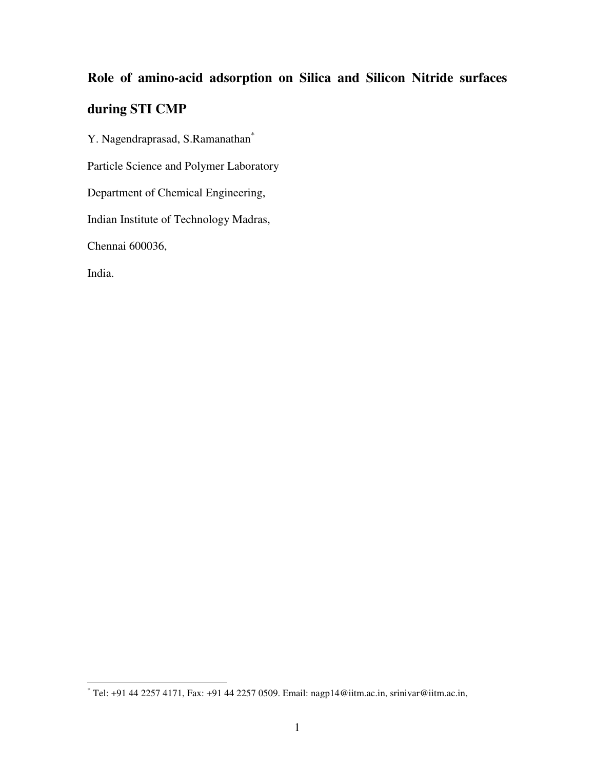# **Role of amino-acid adsorption on Silica and Silicon Nitride surfaces during STI CMP**

Y. Nagendraprasad, S.Ramanathan\* Particle Science and Polymer Laboratory Department of Chemical Engineering, Indian Institute of Technology Madras, Chennai 600036, India.

 \* Tel: +91 44 2257 4171, Fax: +91 44 2257 0509. Email: nagp14@iitm.ac.in, srinivar@iitm.ac.in,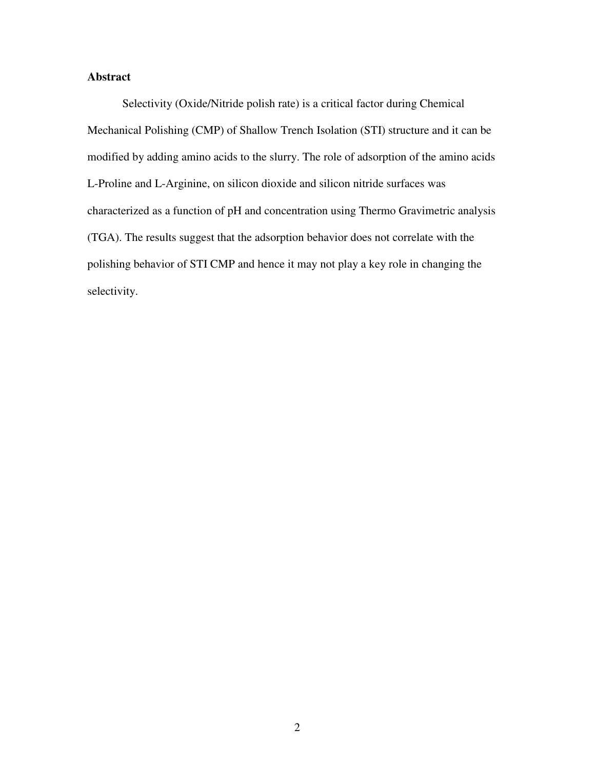# **Abstract**

Selectivity (Oxide/Nitride polish rate) is a critical factor during Chemical Mechanical Polishing (CMP) of Shallow Trench Isolation (STI) structure and it can be modified by adding amino acids to the slurry. The role of adsorption of the amino acids L-Proline and L-Arginine, on silicon dioxide and silicon nitride surfaces was characterized as a function of pH and concentration using Thermo Gravimetric analysis (TGA). The results suggest that the adsorption behavior does not correlate with the polishing behavior of STI CMP and hence it may not play a key role in changing the selectivity.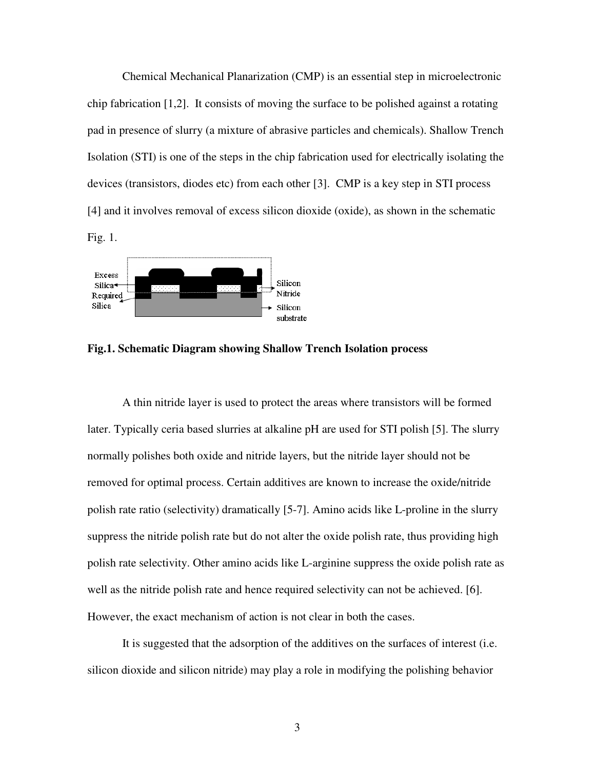Chemical Mechanical Planarization (CMP) is an essential step in microelectronic chip fabrication [1,2]. It consists of moving the surface to be polished against a rotating pad in presence of slurry (a mixture of abrasive particles and chemicals). Shallow Trench Isolation (STI) is one of the steps in the chip fabrication used for electrically isolating the devices (transistors, diodes etc) from each other [3]. CMP is a key step in STI process [4] and it involves removal of excess silicon dioxide (oxide), as shown in the schematic Fig. 1.



**Fig.1. Schematic Diagram showing Shallow Trench Isolation process** 

A thin nitride layer is used to protect the areas where transistors will be formed later. Typically ceria based slurries at alkaline pH are used for STI polish [5]. The slurry normally polishes both oxide and nitride layers, but the nitride layer should not be removed for optimal process. Certain additives are known to increase the oxide/nitride polish rate ratio (selectivity) dramatically [5-7]. Amino acids like L-proline in the slurry suppress the nitride polish rate but do not alter the oxide polish rate, thus providing high polish rate selectivity. Other amino acids like L-arginine suppress the oxide polish rate as well as the nitride polish rate and hence required selectivity can not be achieved. [6]. However, the exact mechanism of action is not clear in both the cases.

It is suggested that the adsorption of the additives on the surfaces of interest (i.e. silicon dioxide and silicon nitride) may play a role in modifying the polishing behavior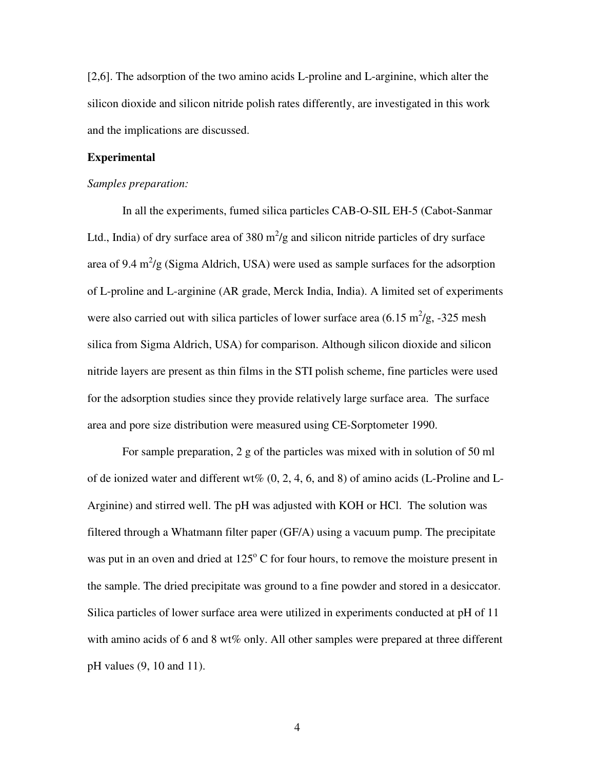[2,6]. The adsorption of the two amino acids L-proline and L-arginine, which alter the silicon dioxide and silicon nitride polish rates differently, are investigated in this work and the implications are discussed.

# **Experimental**

### *Samples preparation:*

In all the experiments, fumed silica particles CAB-O-SIL EH-5 (Cabot-Sanmar Ltd., India) of dry surface area of 380  $m^2/g$  and silicon nitride particles of dry surface area of 9.4  $\text{m}^2/\text{g}$  (Sigma Aldrich, USA) were used as sample surfaces for the adsorption of L-proline and L-arginine (AR grade, Merck India, India). A limited set of experiments were also carried out with silica particles of lower surface area  $(6.15 \text{ m}^2/\text{g}, -325 \text{ mesh})$ silica from Sigma Aldrich, USA) for comparison. Although silicon dioxide and silicon nitride layers are present as thin films in the STI polish scheme, fine particles were used for the adsorption studies since they provide relatively large surface area. The surface area and pore size distribution were measured using CE-Sorptometer 1990.

For sample preparation, 2 g of the particles was mixed with in solution of 50 ml of de ionized water and different wt%  $(0, 2, 4, 6,$  and 8) of amino acids (L-Proline and L-Arginine) and stirred well. The pH was adjusted with KOH or HCl. The solution was filtered through a Whatmann filter paper (GF/A) using a vacuum pump. The precipitate was put in an oven and dried at  $125^{\circ}$  C for four hours, to remove the moisture present in the sample. The dried precipitate was ground to a fine powder and stored in a desiccator. Silica particles of lower surface area were utilized in experiments conducted at pH of 11 with amino acids of 6 and 8 wt% only. All other samples were prepared at three different pH values (9, 10 and 11).

4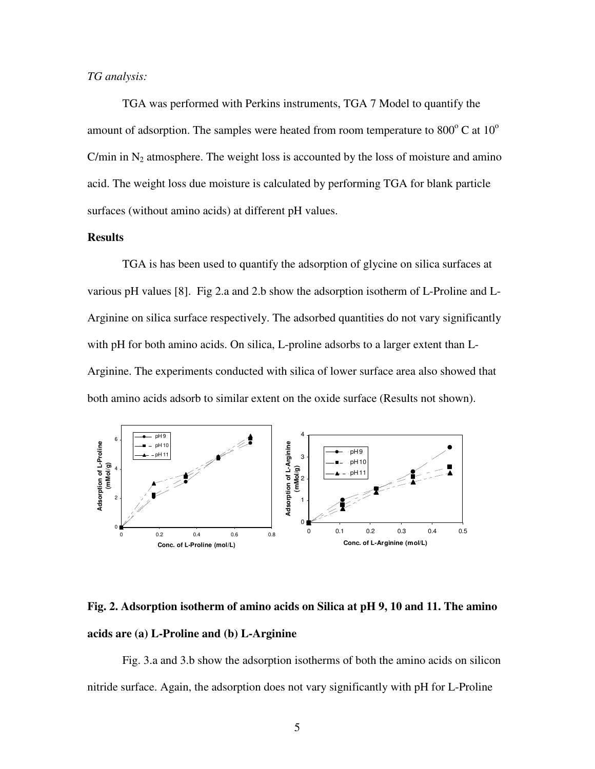## *TG analysis:*

TGA was performed with Perkins instruments, TGA 7 Model to quantify the amount of adsorption. The samples were heated from room temperature to  $800^{\circ}$  C at  $10^{\circ}$ C/min in  $N_2$  atmosphere. The weight loss is accounted by the loss of moisture and amino acid. The weight loss due moisture is calculated by performing TGA for blank particle surfaces (without amino acids) at different pH values.

# **Results**

TGA is has been used to quantify the adsorption of glycine on silica surfaces at various pH values [8]. Fig 2.a and 2.b show the adsorption isotherm of L-Proline and L-Arginine on silica surface respectively. The adsorbed quantities do not vary significantly with pH for both amino acids. On silica, L-proline adsorbs to a larger extent than L-Arginine. The experiments conducted with silica of lower surface area also showed that both amino acids adsorb to similar extent on the oxide surface (Results not shown).



**Fig. 2. Adsorption isotherm of amino acids on Silica at pH 9, 10 and 11. The amino acids are (a) L-Proline and (b) L-Arginine** 

Fig. 3.a and 3.b show the adsorption isotherms of both the amino acids on silicon nitride surface. Again, the adsorption does not vary significantly with pH for L-Proline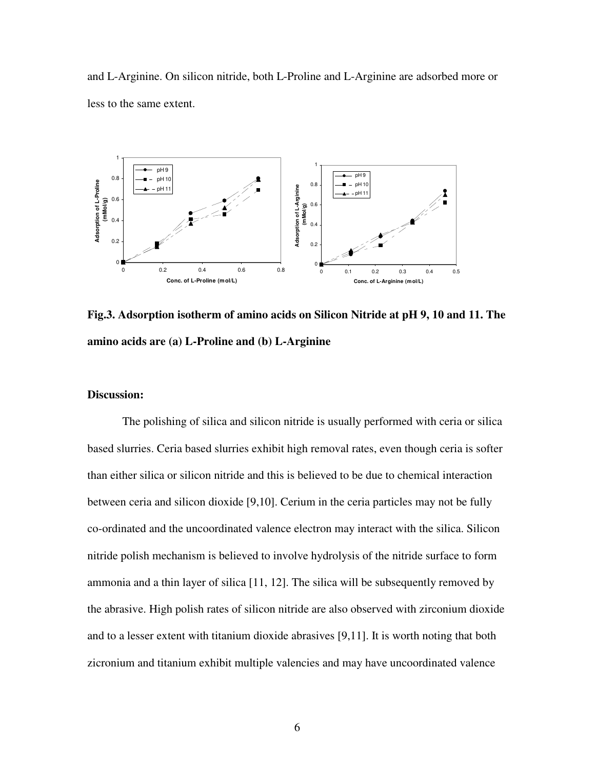and L-Arginine. On silicon nitride, both L-Proline and L-Arginine are adsorbed more or less to the same extent.



**Fig.3. Adsorption isotherm of amino acids on Silicon Nitride at pH 9, 10 and 11. The amino acids are (a) L-Proline and (b) L-Arginine** 

# **Discussion:**

The polishing of silica and silicon nitride is usually performed with ceria or silica based slurries. Ceria based slurries exhibit high removal rates, even though ceria is softer than either silica or silicon nitride and this is believed to be due to chemical interaction between ceria and silicon dioxide [9,10]. Cerium in the ceria particles may not be fully co-ordinated and the uncoordinated valence electron may interact with the silica. Silicon nitride polish mechanism is believed to involve hydrolysis of the nitride surface to form ammonia and a thin layer of silica [11, 12]. The silica will be subsequently removed by the abrasive. High polish rates of silicon nitride are also observed with zirconium dioxide and to a lesser extent with titanium dioxide abrasives [9,11]. It is worth noting that both zicronium and titanium exhibit multiple valencies and may have uncoordinated valence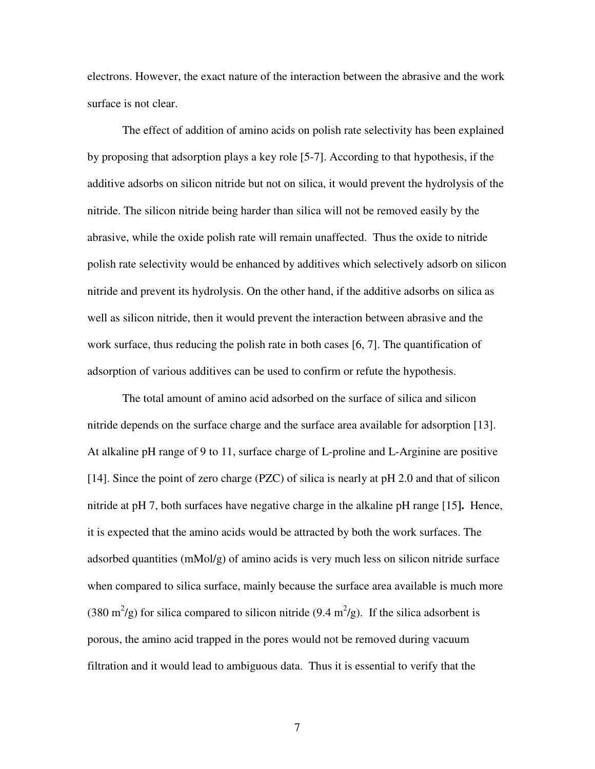electrons. However, the exact nature of the interaction between the abrasive and the work surface is not clear.

The effect of addition of amino acids on polish rate selectivity has been explained by proposing that adsorption plays a key role [5-7]. According to that hypothesis, if the additive adsorbs on silicon nitride but not on silica, it would prevent the hydrolysis of the nitride. The silicon nitride being harder than silica will not be removed easily by the abrasive, while the oxide polish rate will remain unaffected. Thus the oxide to nitride polish rate selectivity would be enhanced by additives which selectively adsorb on silicon nitride and prevent its hydrolysis. On the other hand, if the additive adsorbs on silica as well as silicon nitride, then it would prevent the interaction between abrasive and the work surface, thus reducing the polish rate in both cases [6, 7]. The quantification of adsorption of various additives can be used to confirm or refute the hypothesis.

The total amount of amino acid adsorbed on the surface of silica and silicon nitride depends on the surface charge and the surface area available for adsorption [13]. At alkaline pH range of 9 to 11, surface charge of L-proline and L-Arginine are positive [14]. Since the point of zero charge (PZC) of silica is nearly at pH 2.0 and that of silicon nitride at pH 7, both surfaces have negative charge in the alkaline pH range [15**].** Hence, it is expected that the amino acids would be attracted by both the work surfaces. The adsorbed quantities (mMol/g) of amino acids is very much less on silicon nitride surface when compared to silica surface, mainly because the surface area available is much more (380 m<sup>2</sup>/g) for silica compared to silicon nitride (9.4 m<sup>2</sup>/g). If the silica adsorbent is porous, the amino acid trapped in the pores would not be removed during vacuum filtration and it would lead to ambiguous data. Thus it is essential to verify that the

7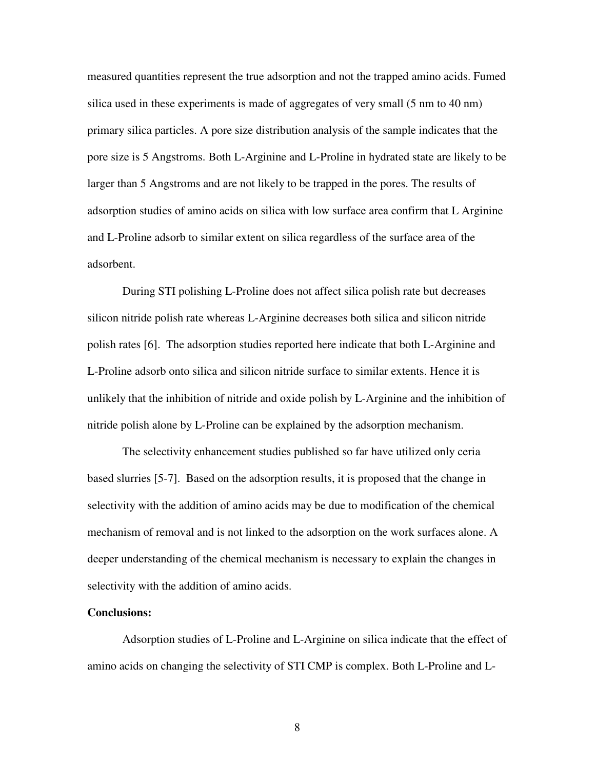measured quantities represent the true adsorption and not the trapped amino acids. Fumed silica used in these experiments is made of aggregates of very small (5 nm to 40 nm) primary silica particles. A pore size distribution analysis of the sample indicates that the pore size is 5 Angstroms. Both L-Arginine and L-Proline in hydrated state are likely to be larger than 5 Angstroms and are not likely to be trapped in the pores. The results of adsorption studies of amino acids on silica with low surface area confirm that L Arginine and L-Proline adsorb to similar extent on silica regardless of the surface area of the adsorbent.

During STI polishing L-Proline does not affect silica polish rate but decreases silicon nitride polish rate whereas L-Arginine decreases both silica and silicon nitride polish rates [6]. The adsorption studies reported here indicate that both L-Arginine and L-Proline adsorb onto silica and silicon nitride surface to similar extents. Hence it is unlikely that the inhibition of nitride and oxide polish by L-Arginine and the inhibition of nitride polish alone by L-Proline can be explained by the adsorption mechanism.

The selectivity enhancement studies published so far have utilized only ceria based slurries [5-7]. Based on the adsorption results, it is proposed that the change in selectivity with the addition of amino acids may be due to modification of the chemical mechanism of removal and is not linked to the adsorption on the work surfaces alone. A deeper understanding of the chemical mechanism is necessary to explain the changes in selectivity with the addition of amino acids.

#### **Conclusions:**

Adsorption studies of L-Proline and L-Arginine on silica indicate that the effect of amino acids on changing the selectivity of STI CMP is complex. Both L-Proline and L-

8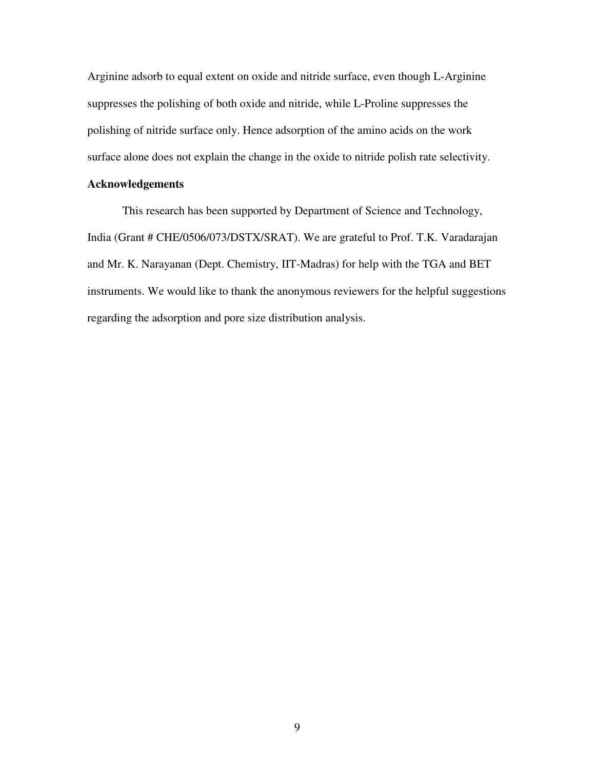Arginine adsorb to equal extent on oxide and nitride surface, even though L-Arginine suppresses the polishing of both oxide and nitride, while L-Proline suppresses the polishing of nitride surface only. Hence adsorption of the amino acids on the work surface alone does not explain the change in the oxide to nitride polish rate selectivity.

## **Acknowledgements**

This research has been supported by Department of Science and Technology, India (Grant # CHE/0506/073/DSTX/SRAT). We are grateful to Prof. T.K. Varadarajan and Mr. K. Narayanan (Dept. Chemistry, IIT-Madras) for help with the TGA and BET instruments. We would like to thank the anonymous reviewers for the helpful suggestions regarding the adsorption and pore size distribution analysis.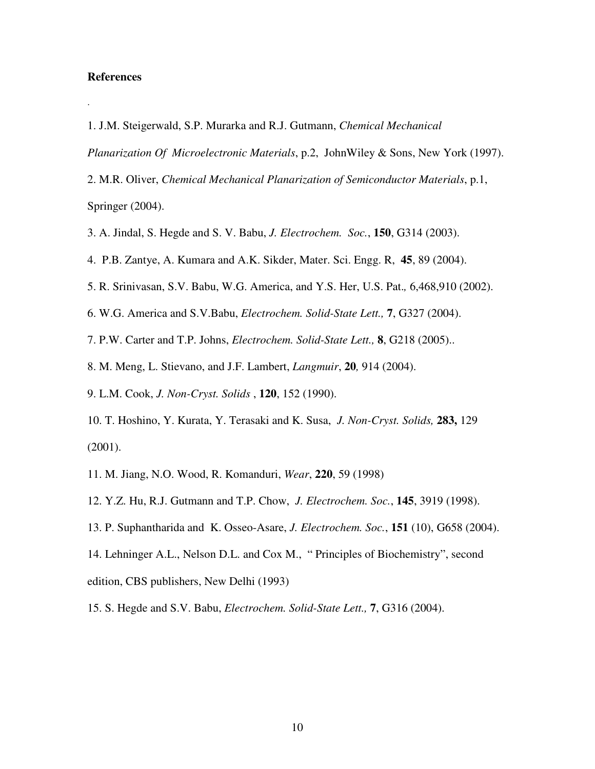## **References**

.

1. J.M. Steigerwald, S.P. Murarka and R.J. Gutmann, *Chemical Mechanical* 

*Planarization Of Microelectronic Materials*, p.2, JohnWiley & Sons, New York (1997).

2. M.R. Oliver, *Chemical Mechanical Planarization of Semiconductor Materials*, p.1, Springer (2004).

- 3. A. Jindal, S. Hegde and S. V. Babu, *J. Electrochem. Soc.*, **150**, G314 (2003).
- 4. P.B. Zantye, A. Kumara and A.K. Sikder, Mater. Sci. Engg. R, **45**, 89 (2004).
- 5. R. Srinivasan, S.V. Babu, W.G. America, and Y.S. Her, U.S. Pat.*,* 6,468,910 (2002).
- 6. W.G. America and S.V.Babu, *Electrochem. Solid-State Lett.,* **7**, G327 (2004).

7. P.W. Carter and T.P. Johns, *Electrochem. Solid-State Lett.,* **8**, G218 (2005)..

- 8. M. Meng, L. Stievano, and J.F. Lambert, *Langmuir*, **20***,* 914 (2004).
- 9. L.M. Cook, *J. Non-Cryst. Solids* , **120**, 152 (1990).
- 10. T. Hoshino, Y. Kurata, Y. Terasaki and K. Susa, *J. Non-Cryst. Solids,* **283,** 129 (2001).
- 11. M. Jiang, N.O. Wood, R. Komanduri, *Wear*, **220**, 59 (1998)
- 12. Y.Z. Hu, R.J. Gutmann and T.P. Chow, *J. Electrochem. Soc.*, **145**, 3919 (1998).
- 13. P. Suphantharida and K. Osseo-Asare, *J. Electrochem. Soc.*, **151** (10), G658 (2004).

14. Lehninger A.L., Nelson D.L. and Cox M., " Principles of Biochemistry", second edition, CBS publishers, New Delhi (1993)

15. S. Hegde and S.V. Babu, *Electrochem. Solid-State Lett.,* **7**, G316 (2004).